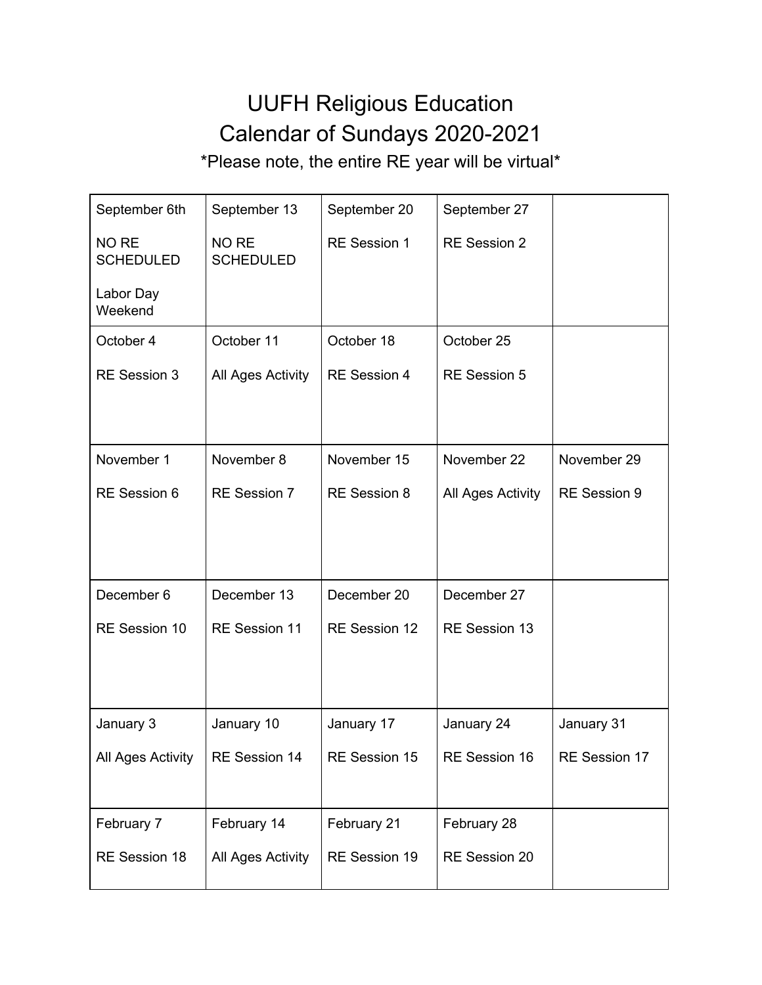## UUFH Religious Education Calendar of Sundays 2020-2021

\*Please note, the entire RE year will be virtual\*

| September 6th             | September 13              | September 20        | September 27        |               |
|---------------------------|---------------------------|---------------------|---------------------|---------------|
| NO RE<br><b>SCHEDULED</b> | NO RE<br><b>SCHEDULED</b> | RE Session 1        | <b>RE Session 2</b> |               |
| Labor Day<br>Weekend      |                           |                     |                     |               |
| October 4                 | October 11                | October 18          | October 25          |               |
| <b>RE Session 3</b>       | All Ages Activity         | RE Session 4        | <b>RE Session 5</b> |               |
|                           |                           |                     |                     |               |
| November 1                | November 8                | November 15         | November 22         | November 29   |
| RE Session 6              | RE Session 7              | <b>RE</b> Session 8 | All Ages Activity   | RE Session 9  |
|                           |                           |                     |                     |               |
|                           |                           |                     |                     |               |
| December 6                | December 13               | December 20         | December 27         |               |
| RE Session 10             | RE Session 11             | RE Session 12       | RE Session 13       |               |
|                           |                           |                     |                     |               |
|                           |                           |                     |                     |               |
| January 3                 | January 10                | January 17          | January 24          | January 31    |
| All Ages Activity         | RE Session 14             | RE Session 15       | RE Session 16       | RE Session 17 |
|                           |                           |                     |                     |               |
| February 7                | February 14               | February 21         | February 28         |               |
| RE Session 18             | All Ages Activity         | RE Session 19       | RE Session 20       |               |
|                           |                           |                     |                     |               |